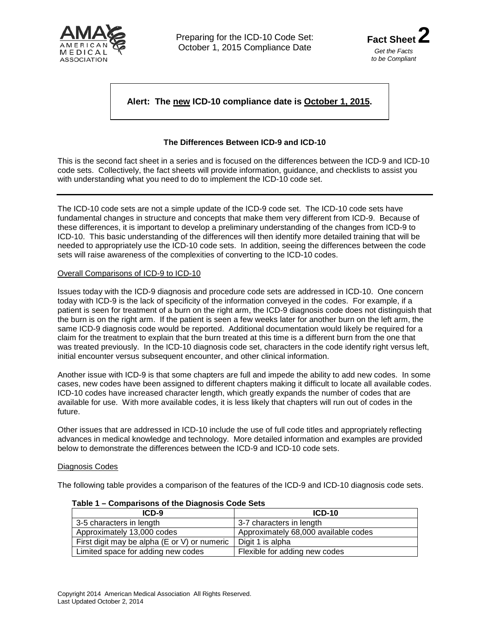



# **Alert: The new ICD-10 compliance date is October 1, 2015.**

## **The Differences Between ICD-9 and ICD-10**

This is the second fact sheet in a series and is focused on the differences between the ICD-9 and ICD-10 code sets. Collectively, the fact sheets will provide information, guidance, and checklists to assist you with understanding what you need to do to implement the ICD-10 code set.

The ICD-10 code sets are not a simple update of the ICD-9 code set. The ICD-10 code sets have fundamental changes in structure and concepts that make them very different from ICD-9. Because of these differences, it is important to develop a preliminary understanding of the changes from ICD-9 to ICD-10. This basic understanding of the differences will then identify more detailed training that will be needed to appropriately use the ICD-10 code sets. In addition, seeing the differences between the code sets will raise awareness of the complexities of converting to the ICD-10 codes.

#### Overall Comparisons of ICD-9 to ICD-10

Issues today with the ICD-9 diagnosis and procedure code sets are addressed in ICD-10. One concern today with ICD-9 is the lack of specificity of the information conveyed in the codes. For example, if a patient is seen for treatment of a burn on the right arm, the ICD-9 diagnosis code does not distinguish that the burn is on the right arm. If the patient is seen a few weeks later for another burn on the left arm, the same ICD-9 diagnosis code would be reported. Additional documentation would likely be required for a claim for the treatment to explain that the burn treated at this time is a different burn from the one that was treated previously. In the ICD-10 diagnosis code set, characters in the code identify right versus left, initial encounter versus subsequent encounter, and other clinical information.

Another issue with ICD-9 is that some chapters are full and impede the ability to add new codes. In some cases, new codes have been assigned to different chapters making it difficult to locate all available codes. ICD-10 codes have increased character length, which greatly expands the number of codes that are available for use. With more available codes, it is less likely that chapters will run out of codes in the future.

Other issues that are addressed in ICD-10 include the use of full code titles and appropriately reflecting advances in medical knowledge and technology. More detailed information and examples are provided below to demonstrate the differences between the ICD-9 and ICD-10 code sets.

### Diagnosis Codes

The following table provides a comparison of the features of the ICD-9 and ICD-10 diagnosis code sets.

| $ICD-9$                                      | $ICD-10$                             |  |  |
|----------------------------------------------|--------------------------------------|--|--|
| 3-5 characters in length                     | 3-7 characters in length             |  |  |
| Approximately 13,000 codes                   | Approximately 68,000 available codes |  |  |
| First digit may be alpha (E or V) or numeric | Digit 1 is alpha                     |  |  |
| Limited space for adding new codes           | Flexible for adding new codes        |  |  |

### **Table 1 – Comparisons of the Diagnosis Code Sets**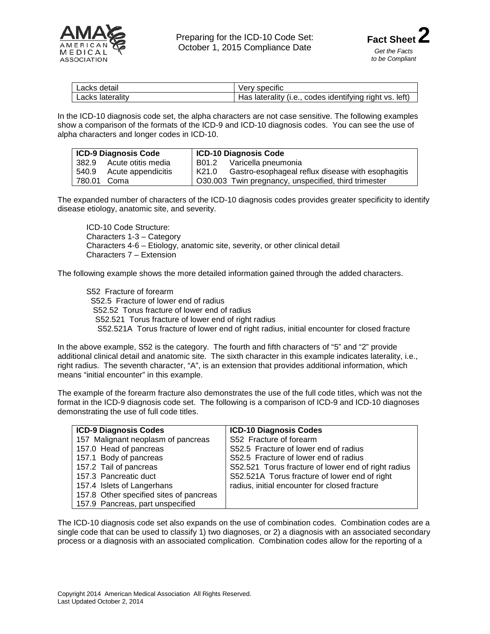

| Lacks detail     | Very specific                                           |
|------------------|---------------------------------------------------------|
| Lacks laterality | Has laterality (i.e., codes identifying right vs. left) |

In the ICD-10 diagnosis code set, the alpha characters are not case sensitive. The following examples show a comparison of the formats of the ICD-9 and ICD-10 diagnosis codes. You can see the use of alpha characters and longer codes in ICD-10.

| ICD-9 Diagnosis Code     | <b>ICD-10 Diagnosis Code</b>                                 |  |
|--------------------------|--------------------------------------------------------------|--|
| 382.9 Acute otitis media | Varicella pneumonia<br>B01.2                                 |  |
| 540.9 Acute appendicitis | l K21.0<br>Gastro-esophageal reflux disease with esophagitis |  |
| 780.01<br>Coma           | O30.003 Twin pregnancy, unspecified, third trimester         |  |

The expanded number of characters of the ICD-10 diagnosis codes provides greater specificity to identify disease etiology, anatomic site, and severity.

ICD-10 Code Structure: Characters 1-3 – Category Characters 4-6 – Etiology, anatomic site, severity, or other clinical detail Characters 7 – Extension

The following example shows the more detailed information gained through the added characters.

S52 Fracture of forearm S52.5 Fracture of lower end of radius S52.52 Torus fracture of lower end of radius S52.521 Torus fracture of lower end of right radius S52.521A Torus fracture of lower end of right radius, initial encounter for closed fracture

In the above example, S52 is the category. The fourth and fifth characters of "5" and "2" provide additional clinical detail and anatomic site. The sixth character in this example indicates laterality, i.e., right radius. The seventh character, "A", is an extension that provides additional information, which means "initial encounter" in this example.

The example of the forearm fracture also demonstrates the use of the full code titles, which was not the format in the ICD-9 diagnosis code set. The following is a comparison of ICD-9 and ICD-10 diagnoses demonstrating the use of full code titles.

| <b>ICD-9 Diagnosis Codes</b>            | <b>ICD-10 Diagnosis Codes</b>                       |  |  |  |  |
|-----------------------------------------|-----------------------------------------------------|--|--|--|--|
| 157 Malignant neoplasm of pancreas      | S52 Fracture of forearm                             |  |  |  |  |
| 157.0 Head of pancreas                  | S52.5 Fracture of lower end of radius               |  |  |  |  |
| 157.1 Body of pancreas                  | S52.5 Fracture of lower end of radius               |  |  |  |  |
| 157.2 Tail of pancreas                  | S52.521 Torus fracture of lower end of right radius |  |  |  |  |
| 157.3 Pancreatic duct                   | S52.521A Torus fracture of lower end of right       |  |  |  |  |
| 157.4 Islets of Langerhans              | radius, initial encounter for closed fracture       |  |  |  |  |
| 157.8 Other specified sites of pancreas |                                                     |  |  |  |  |
| 157.9 Pancreas, part unspecified        |                                                     |  |  |  |  |

The ICD-10 diagnosis code set also expands on the use of combination codes. Combination codes are a single code that can be used to classify 1) two diagnoses, or 2) a diagnosis with an associated secondary process or a diagnosis with an associated complication. Combination codes allow for the reporting of a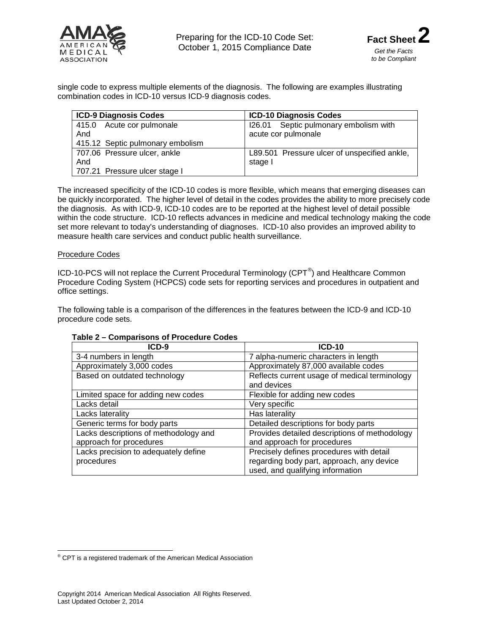

single code to express multiple elements of the diagnosis. The following are examples illustrating combination codes in ICD-10 versus ICD-9 diagnosis codes.

| <b>ICD-9 Diagnosis Codes</b>     | <b>ICD-10 Diagnosis Codes</b>                |  |  |  |
|----------------------------------|----------------------------------------------|--|--|--|
| 415.0 Acute cor pulmonale        | 126.01 Septic pulmonary embolism with        |  |  |  |
| And                              | acute cor pulmonale                          |  |  |  |
| 415.12 Septic pulmonary embolism |                                              |  |  |  |
| 707.06 Pressure ulcer, ankle     | L89.501 Pressure ulcer of unspecified ankle, |  |  |  |
| And                              | stage I                                      |  |  |  |
| 707.21 Pressure ulcer stage I    |                                              |  |  |  |

The increased specificity of the ICD-10 codes is more flexible, which means that emerging diseases can be quickly incorporated. The higher level of detail in the codes provides the ability to more precisely code the diagnosis. As with ICD-9, ICD-10 codes are to be reported at the highest level of detail possible within the code structure. ICD-10 reflects advances in medicine and medical technology making the code set more relevant to today's understanding of diagnoses. ICD-10 also provides an improved ability to measure health care services and conduct public health surveillance.

### Procedure Codes

ICD-10-PCS will not replace the Current Procedural Terminology (CPT<sup>[®](#page-2-0)</sup>) and Healthcare Common Procedure Coding System (HCPCS) code sets for reporting services and procedures in outpatient and office settings.

The following table is a comparison of the differences in the features between the ICD-9 and ICD-10 procedure code sets.

| $ICD-9$                               | <b>ICD-10</b>                                 |  |  |  |
|---------------------------------------|-----------------------------------------------|--|--|--|
| 3-4 numbers in length                 | 7 alpha-numeric characters in length          |  |  |  |
| Approximately 3,000 codes             | Approximately 87,000 available codes          |  |  |  |
| Based on outdated technology          | Reflects current usage of medical terminology |  |  |  |
|                                       | and devices                                   |  |  |  |
| Limited space for adding new codes    | Flexible for adding new codes                 |  |  |  |
| Lacks detail                          | Very specific                                 |  |  |  |
| Lacks laterality                      | Has laterality                                |  |  |  |
| Generic terms for body parts          | Detailed descriptions for body parts          |  |  |  |
| Lacks descriptions of methodology and | Provides detailed descriptions of methodology |  |  |  |
| approach for procedures               | and approach for procedures                   |  |  |  |
| Lacks precision to adequately define  | Precisely defines procedures with detail      |  |  |  |
| procedures                            | regarding body part, approach, any device     |  |  |  |
|                                       | used, and qualifying information              |  |  |  |

### **Table 2 – Comparisons of Procedure Codes**

<span id="page-2-0"></span>® CPT is a registered trademark of the American Medical Association